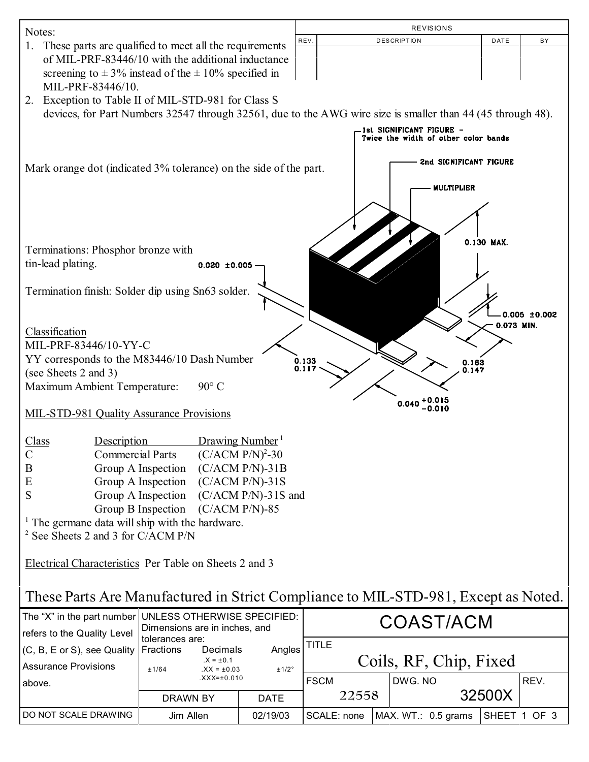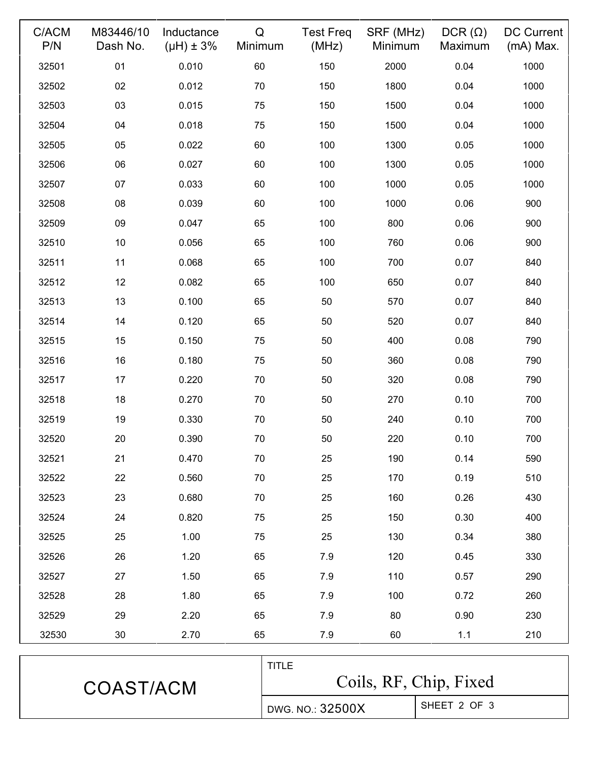| C/ACM<br>P/N | M83446/10<br>Dash No. | Inductance<br>$(\mu H) \pm 3\%$ | Q<br>Minimum | <b>Test Freq</b><br>(MHz) | SRF (MHz)<br>Minimum | $DCR(\Omega)$<br>Maximum | <b>DC Current</b><br>$(mA)$ Max. |
|--------------|-----------------------|---------------------------------|--------------|---------------------------|----------------------|--------------------------|----------------------------------|
| 32501        | 01                    | 0.010                           | 60           | 150                       | 2000                 | 0.04                     | 1000                             |
| 32502        | 02                    | 0.012                           | 70           | 150                       | 1800                 | 0.04                     | 1000                             |
| 32503        | 03                    | 0.015                           | 75           | 150                       | 1500                 | 0.04                     | 1000                             |
| 32504        | 04                    | 0.018                           | 75           | 150                       | 1500                 | 0.04                     | 1000                             |
| 32505        | 05                    | 0.022                           | 60           | 100                       | 1300                 | 0.05                     | 1000                             |
| 32506        | 06                    | 0.027                           | 60           | 100                       | 1300                 | 0.05                     | 1000                             |
| 32507        | 07                    | 0.033                           | 60           | 100                       | 1000                 | 0.05                     | 1000                             |
| 32508        | 08                    | 0.039                           | 60           | 100                       | 1000                 | 0.06                     | 900                              |
| 32509        | 09                    | 0.047                           | 65           | 100                       | 800                  | 0.06                     | 900                              |
| 32510        | 10                    | 0.056                           | 65           | 100                       | 760                  | 0.06                     | 900                              |
| 32511        | 11                    | 0.068                           | 65           | 100                       | 700                  | 0.07                     | 840                              |
| 32512        | 12                    | 0.082                           | 65           | 100                       | 650                  | 0.07                     | 840                              |
| 32513        | 13                    | 0.100                           | 65           | 50                        | 570                  | 0.07                     | 840                              |
| 32514        | 14                    | 0.120                           | 65           | 50                        | 520                  | 0.07                     | 840                              |
| 32515        | 15                    | 0.150                           | 75           | 50                        | 400                  | 0.08                     | 790                              |
| 32516        | 16                    | 0.180                           | 75           | 50                        | 360                  | 0.08                     | 790                              |
| 32517        | 17                    | 0.220                           | 70           | 50                        | 320                  | 0.08                     | 790                              |
| 32518        | 18                    | 0.270                           | 70           | 50                        | 270                  | 0.10                     | 700                              |
| 32519        | 19                    | 0.330                           | 70           | 50                        | 240                  | 0.10                     | 700                              |
| 32520        | 20                    | 0.390                           | 70           | 50                        | 220                  | 0.10                     | 700                              |
| 32521        | 21                    | 0.470                           | 70           | 25                        | 190                  | 0.14                     | 590                              |
| 32522        | 22                    | 0.560                           | 70           | 25                        | 170                  | 0.19                     | 510                              |
| 32523        | 23                    | 0.680                           | 70           | 25                        | 160                  | 0.26                     | 430                              |
| 32524        | 24                    | 0.820                           | 75           | 25                        | 150                  | 0.30                     | 400                              |
| 32525        | 25                    | 1.00                            | 75           | 25                        | 130                  | 0.34                     | 380                              |
| 32526        | 26                    | 1.20                            | 65           | 7.9                       | 120                  | 0.45                     | 330                              |
| 32527        | 27                    | 1.50                            | 65           | 7.9                       | 110                  | 0.57                     | 290                              |
| 32528        | 28                    | 1.80                            | 65           | 7.9                       | 100                  | 0.72                     | 260                              |
| 32529        | 29                    | 2.20                            | 65           | 7.9                       | 80                   | 0.90                     | 230                              |
| 32530        | 30                    | 2.70                            | 65           | 7.9                       | 60                   | 1.1                      | 210                              |
|              |                       |                                 |              |                           |                      |                          |                                  |

| COAST/ACM | <b>TITLE</b><br>Coils, RF, Chip, Fixed |              |  |
|-----------|----------------------------------------|--------------|--|
|           | DWG. NO.: 32500X                       | SHEET 2 OF 3 |  |